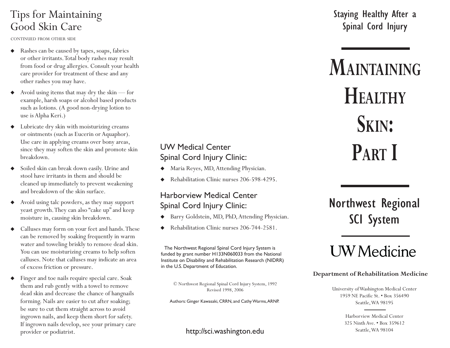### Tips for Maintaining Good Skin Care

CONTINUED FROM OTHER SIDE

- Rashes can be caused by tapes, soaps, fabrics or other irritants. Total body rashes may result from food or drug allergies. Consult your health care provider for treatment of these and any other rashes you may have.
- ◆ Avoid using items that may dry the skin — for example, harsh soaps or alcohol based products such as lotions. (A good non-drying lotion to use is Alpha Keri.)
- $\blacklozenge$  Lubricate dry skin with moisturizing creams or ointments (such as Eucerin or Aquaphor). Use care in applying creams over bony areas, since they may soften the skin and promote skin breakdown.
- $\blacklozenge$  Soiled skin can break down easily. Urine and stool have irritants in them and should be cleaned up immediately to prevent weakening and breakdown of the skin surface.
- ◆ Avoid using talc powders, as they may support yeast growth. They can also "cake up" and keep moisture in, causing skin breakdown.
- $\blacklozenge$  Calluses may form on your feet and hands. These can be removed by soaking frequently in warm water and toweling briskly to remove dead skin. You can use moisturizing creams to help soften calluses. Note that calluses may indicate an area of excess friction or pressure.
- ◆ Finger and toe nails require special care. Soak them and rub gently with a towel to remove dead skin and decrease the chance of hangnails forming. Nails are easier to cut after soaking; be sure to cut them straight across to avoid ingrown nails, and keep them short for safety. If ingrown nails develop, see your primary care provider or podiatrist.

#### UW Medical Center Spinal Cord Injury Clinic:

- ٠ Maria Reyes, MD, Attending Physician.
- ٠ Rehabilitation Clinic nurses 206-598-4295.

#### Harborview Medical Center Spinal Cord Injury Clinic:

- Barry Goldstein, MD, PhD, Attending Physician.
- ٠ Rehabilitation Clinic nurses 206-744-2581.

The Northwest Regional Spinal Cord Injury System is funded by grant number H133N060033 from the National Institute on Disability and Rehabilitation Research (NIDRR) in the U.S. Department of Education.

© Northwest Regional Spinal Cord Injury System, 1992 Revised 1998, 2006

Authors: Ginger Kawasaki, CRRN, and Cathy Warms, ARNP.

http://sci.washington.edu <br>Seattle, WA 98104

### Staying Healthy After a Spinal Cord Injury

# **MAINTAININGHEALTHYSKIN : PART I**

# Northwest Regional SCI System

# **UW** Medicine

#### **Department of Rehabilitation Medicine**

University of Washington Medical Center 1959 NE Pacific St. • Box 356490 Seattle, WA 98195

> Harborview Medical Center325 Ninth Ave. • Box 359612